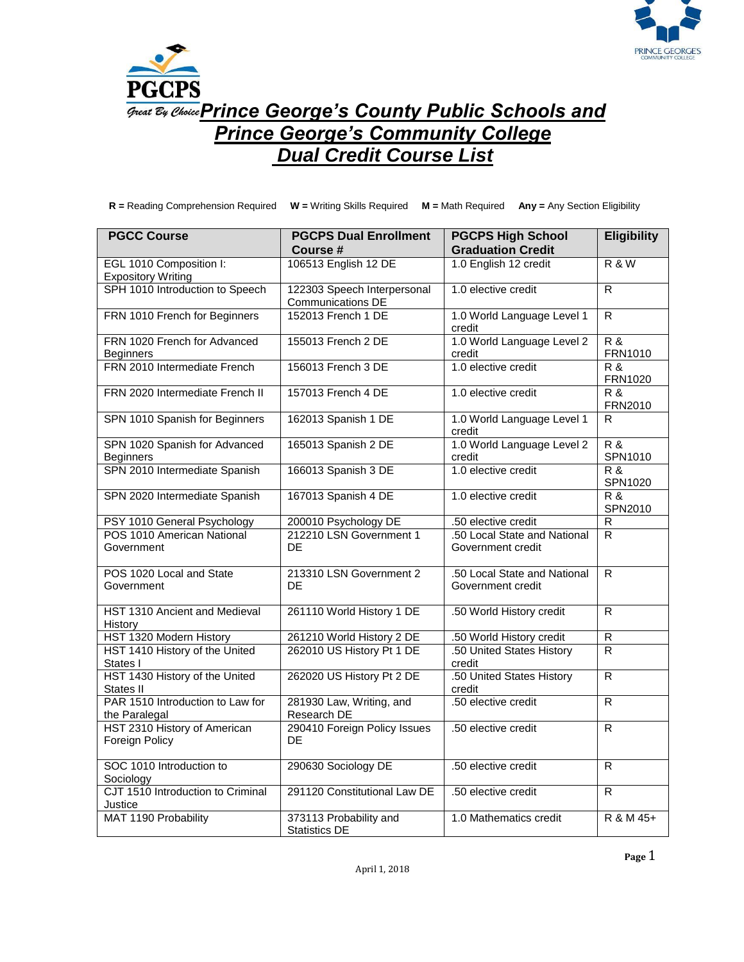



**Great By Choice Prince George's County Public Schools and** *Prince George's Community College Dual Credit Course List*

**R =** Reading Comprehension Required **W =** Writing Skills Required **M =** Math Required **Any =** Any Section Eligibility

| <b>PGCC Course</b>                                   | <b>PGCPS Dual Enrollment</b><br>Course #         | <b>PGCPS High School</b><br><b>Graduation Credit</b> | <b>Eligibility</b>        |
|------------------------------------------------------|--------------------------------------------------|------------------------------------------------------|---------------------------|
| EGL 1010 Composition I:<br><b>Expository Writing</b> | 106513 English 12 DE                             | 1.0 English 12 credit                                | <b>R &amp; W</b>          |
| SPH 1010 Introduction to Speech                      | 122303 Speech Interpersonal<br>Communications DE | 1.0 elective credit                                  | R                         |
| FRN 1010 French for Beginners                        | 152013 French 1 DE                               | 1.0 World Language Level 1<br>credit                 | R                         |
| FRN 1020 French for Advanced<br><b>Beginners</b>     | 155013 French 2 DE                               | 1.0 World Language Level 2<br>credit                 | R&<br>FRN1010             |
| FRN 2010 Intermediate French                         | 156013 French 3 DE                               | 1.0 elective credit                                  | R&<br>FRN1020             |
| FRN 2020 Intermediate French II                      | 157013 French 4 DE                               | 1.0 elective credit                                  | <b>R &amp;</b><br>FRN2010 |
| SPN 1010 Spanish for Beginners                       | 162013 Spanish 1 DE                              | 1.0 World Language Level 1<br>credit                 | R.                        |
| SPN 1020 Spanish for Advanced<br><b>Beginners</b>    | 165013 Spanish 2 DE                              | 1.0 World Language Level 2<br>credit                 | $R$ &<br>SPN1010          |
| SPN 2010 Intermediate Spanish                        | 166013 Spanish 3 DE                              | 1.0 elective credit                                  | <b>R &amp;</b><br>SPN1020 |
| SPN 2020 Intermediate Spanish                        | 167013 Spanish 4 DE                              | 1.0 elective credit                                  | R&<br>SPN2010             |
| PSY 1010 General Psychology                          | 200010 Psychology DE                             | .50 elective credit                                  | ${\sf R}$                 |
| POS 1010 American National<br>Government             | 212210 LSN Government 1<br>DE                    | .50 Local State and National<br>Government credit    | R.                        |
| POS 1020 Local and State<br>Government               | 213310 LSN Government 2<br>DE.                   | .50 Local State and National<br>Government credit    | R                         |
| HST 1310 Ancient and Medieval<br>History             | 261110 World History 1 DE                        | .50 World History credit                             | R.                        |
| HST 1320 Modern History                              | 261210 World History 2 DE                        | .50 World History credit                             | $\overline{R}$            |
| HST 1410 History of the United<br>States I           | 262010 US History Pt 1 DE                        | .50 United States History<br>credit                  | R                         |
| HST 1430 History of the United<br>States II          | 262020 US History Pt 2 DE                        | .50 United States History<br>credit                  | R                         |
| PAR 1510 Introduction to Law for<br>the Paralegal    | 281930 Law, Writing, and<br>Research DE          | .50 elective credit                                  | $\overline{R}$            |
| HST 2310 History of American<br>Foreign Policy       | 290410 Foreign Policy Issues<br>DE               | .50 elective credit                                  | R.                        |
| SOC 1010 Introduction to<br>Sociology                | 290630 Sociology DE                              | .50 elective credit                                  | R.                        |
| CJT 1510 Introduction to Criminal<br>Justice         | 291120 Constitutional Law DE                     | .50 elective credit                                  | R                         |
| MAT 1190 Probability                                 | 373113 Probability and<br><b>Statistics DE</b>   | 1.0 Mathematics credit                               | R & M 45+                 |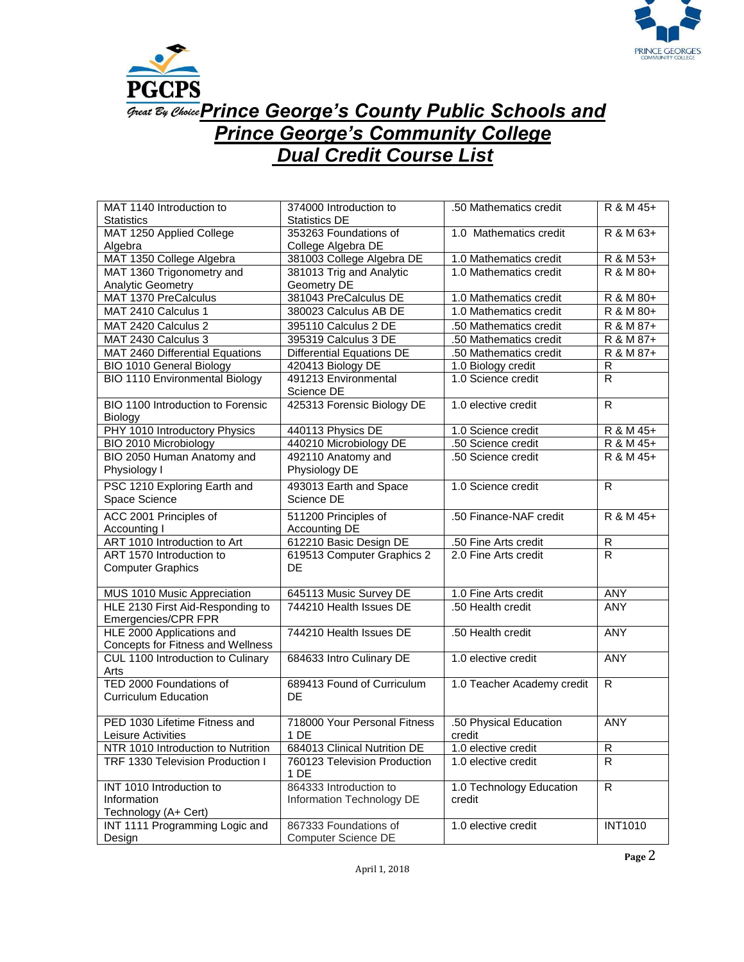



## **Great By Choice Prince George's County Public Schools and** *Prince George's Community College Dual Credit Course List*

| MAT 1140 Introduction to              | 374000 Introduction to           | .50 Mathematics credit     | R & M 45+               |
|---------------------------------------|----------------------------------|----------------------------|-------------------------|
| <b>Statistics</b>                     | <b>Statistics DE</b>             |                            |                         |
| MAT 1250 Applied College              | 353263 Foundations of            | 1.0 Mathematics credit     | R & M 63+               |
| Algebra                               | College Algebra DE               |                            |                         |
| MAT 1350 College Algebra              | 381003 College Algebra DE        | 1.0 Mathematics credit     | R & M 53+               |
| MAT 1360 Trigonometry and             | 381013 Trig and Analytic         | 1.0 Mathematics credit     | R & M 80+               |
| <b>Analytic Geometry</b>              | Geometry DE                      |                            |                         |
| MAT 1370 PreCalculus                  | 381043 PreCalculus DE            | 1.0 Mathematics credit     | R & M 80+               |
| MAT 2410 Calculus 1                   | 380023 Calculus AB DE            | 1.0 Mathematics credit     | R & M 80+               |
| MAT 2420 Calculus 2                   | 395110 Calculus 2 DE             | .50 Mathematics credit     | R & M 87+               |
| MAT 2430 Calculus 3                   | 395319 Calculus 3 DE             | .50 Mathematics credit     | R & M 87+               |
| MAT 2460 Differential Equations       | <b>Differential Equations DE</b> | .50 Mathematics credit     | R & M 87+               |
| <b>BIO 1010 General Biology</b>       | 420413 Biology DE                | 1.0 Biology credit         | R                       |
| <b>BIO 1110 Environmental Biology</b> | 491213 Environmental             | 1.0 Science credit         | $\mathsf{R}$            |
|                                       | Science DE                       |                            |                         |
| BIO 1100 Introduction to Forensic     | 425313 Forensic Biology DE       | 1.0 elective credit        | R                       |
| Biology                               |                                  |                            |                         |
| PHY 1010 Introductory Physics         | 440113 Physics DE                | 1.0 Science credit         | R & M 45+               |
| BIO 2010 Microbiology                 | 440210 Microbiology DE           | .50 Science credit         | R & M 45+               |
| BIO 2050 Human Anatomy and            | 492110 Anatomy and               | .50 Science credit         | R & M 45+               |
| Physiology I                          | Physiology DE                    |                            |                         |
| PSC 1210 Exploring Earth and          | 493013 Earth and Space           | 1.0 Science credit         | R                       |
| Space Science                         | Science DE                       |                            |                         |
| ACC 2001 Principles of                | 511200 Principles of             | .50 Finance-NAF credit     | R & M 45+               |
| Accounting I                          | Accounting DE                    |                            |                         |
| ART 1010 Introduction to Art          | 612210 Basic Design DE           | .50 Fine Arts credit       | ${\sf R}$               |
| ART 1570 Introduction to              | 619513 Computer Graphics 2       | 2.0 Fine Arts credit       | $\overline{R}$          |
| <b>Computer Graphics</b>              | DE                               |                            |                         |
|                                       |                                  |                            |                         |
| MUS 1010 Music Appreciation           | 645113 Music Survey DE           | 1.0 Fine Arts credit       | <b>ANY</b>              |
| HLE 2130 First Aid-Responding to      | 744210 Health Issues DE          | .50 Health credit          | <b>ANY</b>              |
| Emergencies/CPR FPR                   |                                  |                            |                         |
| HLE 2000 Applications and             | 744210 Health Issues DE          | .50 Health credit          | <b>ANY</b>              |
| Concepts for Fitness and Wellness     |                                  |                            |                         |
| CUL 1100 Introduction to Culinary     | 684633 Intro Culinary DE         | 1.0 elective credit        | <b>ANY</b>              |
| Arts                                  |                                  |                            |                         |
| TED 2000 Foundations of               | 689413 Found of Curriculum       | 1.0 Teacher Academy credit | R                       |
| <b>Curriculum Education</b>           | DE                               |                            |                         |
|                                       |                                  |                            |                         |
| PED 1030 Lifetime Fitness and         | 718000 Your Personal Fitness     | .50 Physical Education     | <b>ANY</b>              |
| Leisure Activities                    | 1 DE                             | credit                     |                         |
| NTR 1010 Introduction to Nutrition    | 684013 Clinical Nutrition DE     | 1.0 elective credit        | $\overline{\mathsf{R}}$ |
| TRF 1330 Television Production I      | 760123 Television Production     | 1.0 elective credit        | R                       |
|                                       | 1 DE                             |                            |                         |
| INT 1010 Introduction to              | 864333 Introduction to           | 1.0 Technology Education   | $\overline{R}$          |
| Information                           | Information Technology DE        | credit                     |                         |
| Technology (A+ Cert)                  |                                  |                            |                         |
| INT 1111 Programming Logic and        | 867333 Foundations of            | 1.0 elective credit        | <b>INT1010</b>          |
| Design                                | Computer Science DE              |                            |                         |